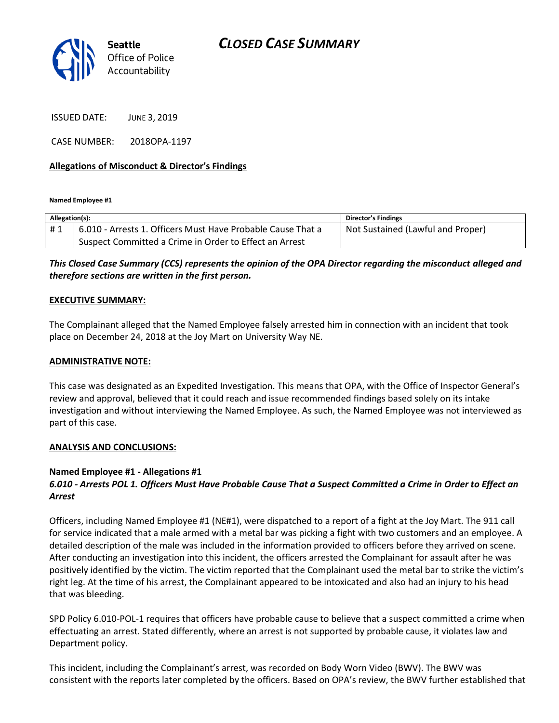

ISSUED DATE: JUNE 3, 2019

CASE NUMBER: 2018OPA-1197

## **Allegations of Misconduct & Director's Findings**

**Named Employee #1**

| Allegation(s): |                                                             | Director's Findings               |
|----------------|-------------------------------------------------------------|-----------------------------------|
| #1             | 6.010 - Arrests 1. Officers Must Have Probable Cause That a | Not Sustained (Lawful and Proper) |
|                | Suspect Committed a Crime in Order to Effect an Arrest      |                                   |

# *This Closed Case Summary (CCS) represents the opinion of the OPA Director regarding the misconduct alleged and therefore sections are written in the first person.*

#### **EXECUTIVE SUMMARY:**

The Complainant alleged that the Named Employee falsely arrested him in connection with an incident that took place on December 24, 2018 at the Joy Mart on University Way NE.

#### **ADMINISTRATIVE NOTE:**

This case was designated as an Expedited Investigation. This means that OPA, with the Office of Inspector General's review and approval, believed that it could reach and issue recommended findings based solely on its intake investigation and without interviewing the Named Employee. As such, the Named Employee was not interviewed as part of this case.

#### **ANALYSIS AND CONCLUSIONS:**

## **Named Employee #1 - Allegations #1**

# *6.010 - Arrests POL 1. Officers Must Have Probable Cause That a Suspect Committed a Crime in Order to Effect an Arrest*

Officers, including Named Employee #1 (NE#1), were dispatched to a report of a fight at the Joy Mart. The 911 call for service indicated that a male armed with a metal bar was picking a fight with two customers and an employee. A detailed description of the male was included in the information provided to officers before they arrived on scene. After conducting an investigation into this incident, the officers arrested the Complainant for assault after he was positively identified by the victim. The victim reported that the Complainant used the metal bar to strike the victim's right leg. At the time of his arrest, the Complainant appeared to be intoxicated and also had an injury to his head that was bleeding.

SPD Policy 6.010-POL-1 requires that officers have probable cause to believe that a suspect committed a crime when effectuating an arrest. Stated differently, where an arrest is not supported by probable cause, it violates law and Department policy.

This incident, including the Complainant's arrest, was recorded on Body Worn Video (BWV). The BWV was consistent with the reports later completed by the officers. Based on OPA's review, the BWV further established that